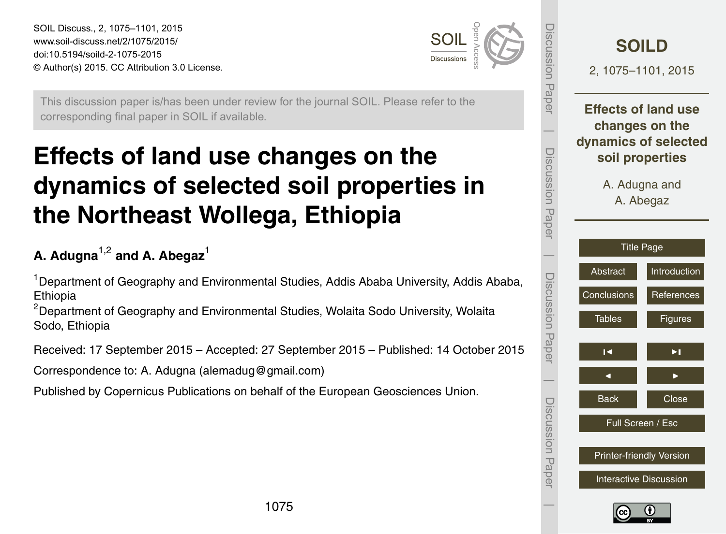<span id="page-0-0"></span>SOIL Discuss., 2, 1075–1101, 2015 www.soil-discuss.net/2/1075/2015/ doi:10.5194/soild-2-1075-2015 © Author(s) 2015. CC Attribution 3.0 License.



Discussion Paper

Paper

**UDISSINGSION** 

 $\overline{\phantom{a}}$ 

Discussion Paper

Discussion

 $\overline{\phantom{a}}$ 

Paper

Discussion Paper

Discussion Paper

 $\overline{\phantom{a}}$ 

Discussion Paper

Discussion Paper

 $\overline{\phantom{a}}$ 

This discussion paper is/has been under review for the journal SOIL. Please refer to the corresponding final paper in SOIL if available.

# **Effects of land use changes on the dynamics of selected soil properties in the Northeast Wollega, Ethiopia**

# **A. Adugna**1,2 **and A. Abegaz**<sup>1</sup>

<sup>1</sup> Department of Geography and Environmental Studies, Addis Ababa University, Addis Ababa, Ethiopia

<sup>2</sup>Department of Geography and Environmental Studies, Wolaita Sodo University, Wolaita Sodo, Ethiopia

Received: 17 September 2015 – Accepted: 27 September 2015 – Published: 14 October 2015

Correspondence to: A. Adugna (alemadug@gmail.com)

Published by Copernicus Publications on behalf of the European Geosciences Union.

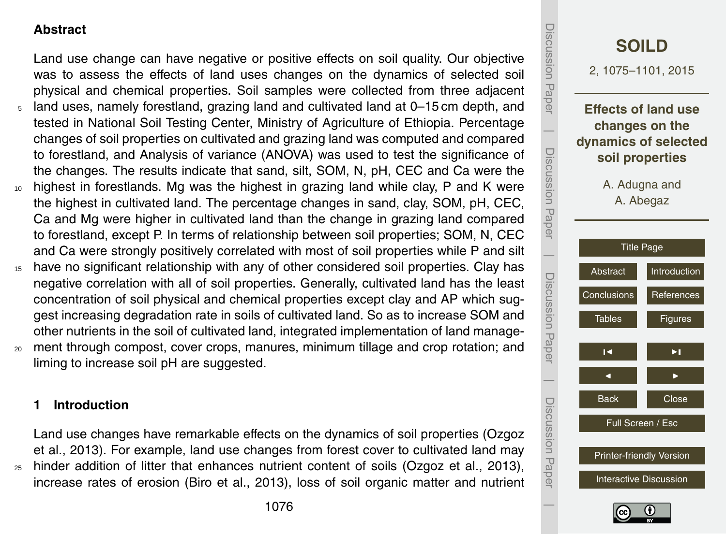# <span id="page-1-0"></span>**Abstract**

Land use change can have negative or positive effects on soil quality. Our objective was to assess the effects of land uses changes on the dynamics of selected soil physical and chemical properties. Soil samples were collected from three adjacent <sup>5</sup> land uses, namely forestland, grazing land and cultivated land at 0–15 cm depth, and tested in National Soil Testing Center, Ministry of Agriculture of Ethiopia. Percentage changes of soil properties on cultivated and grazing land was computed and compared to forestland, and Analysis of variance (ANOVA) was used to test the significance of the changes. The results indicate that sand, silt, SOM, N, pH, CEC and Ca were the <sup>10</sup> highest in forestlands. Mg was the highest in grazing land while clay, P and K were the highest in cultivated land. The percentage changes in sand, clay, SOM, pH, CEC, Ca and Mg were higher in cultivated land than the change in grazing land compared to forestland, except P. In terms of relationship between soil properties; SOM, N, CEC and Ca were strongly positively correlated with most of soil properties while P and silt

- <sup>15</sup> have no significant relationship with any of other considered soil properties. Clay has negative correlation with all of soil properties. Generally, cultivated land has the least concentration of soil physical and chemical properties except clay and AP which suggest increasing degradation rate in soils of cultivated land. So as to increase SOM and other nutrients in the soil of cultivated land, integrated implementation of land manage-
- <sup>20</sup> ment through compost, cover crops, manures, minimum tillage and crop rotation; and liming to increase soil pH are suggested.

#### **1 Introduction**

Land use changes have remarkable effects on the dynamics of soil properties (Ozgoz et al., 2013). For example, land use changes from forest cover to cultivated land may <sup>25</sup> hinder addition of litter that enhances nutrient content of soils (Ozgoz et al., 2013), increase rates of erosion (Biro et al., 2013), loss of soil organic matter and nutrient

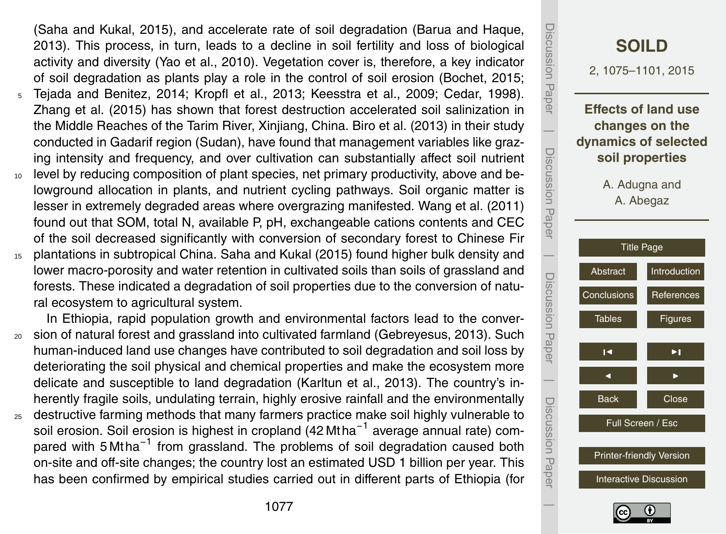(Saha and Kukal, 2015), and accelerate rate of soil degradation (Barua and Haque, 2013). This process, in turn, leads to a decline in soil fertility and loss of biological activity and diversity (Yao et al., 2010). Vegetation cover is, therefore, a key indicator of soil degradation as plants play a role in the control of soil erosion (Bochet, 2015;

- <sup>5</sup> Tejada and Benitez, 2014; Kropfl et al., 2013; Keesstra et al., 2009; Cedar, 1998). Zhang et al. (2015) has shown that forest destruction accelerated soil salinization in the Middle Reaches of the Tarim River, Xinjiang, China. Biro et al. (2013) in their study conducted in Gadarif region (Sudan), have found that management variables like grazing intensity and frequency, and over cultivation can substantially affect soil nutrient
- <sup>10</sup> level by reducing composition of plant species, net primary productivity, above and belowground allocation in plants, and nutrient cycling pathways. Soil organic matter is lesser in extremely degraded areas where overgrazing manifested. Wang et al. (2011) found out that SOM, total N, available P, pH, exchangeable cations contents and CEC of the soil decreased significantly with conversion of secondary forest to Chinese Fir <sup>15</sup> plantations in subtropical China. Saha and Kukal (2015) found higher bulk density and
- lower macro-porosity and water retention in cultivated soils than soils of grassland and forests. These indicated a degradation of soil properties due to the conversion of natural ecosystem to agricultural system.

In Ethiopia, rapid population growth and environmental factors lead to the conver-<sup>20</sup> sion of natural forest and grassland into cultivated farmland (Gebreyesus, 2013). Such human-induced land use changes have contributed to soil degradation and soil loss by deteriorating the soil physical and chemical properties and make the ecosystem more delicate and susceptible to land degradation (Karltun et al., 2013). The country's inherently fragile soils, undulating terrain, highly erosive rainfall and the environmentally

25 destructive farming methods that many farmers practice make soil highly vulnerable to soil erosion. Soil erosion is highest in cropland (42 Mtha<sup>-1</sup> average annual rate) compared with 5 Mtha<sup>-1</sup> from grassland. The problems of soil degradation caused both on-site and off-site changes; the country lost an estimated USD 1 billion per year. This has been confirmed by empirical studies carried out in different parts of Ethiopia (for



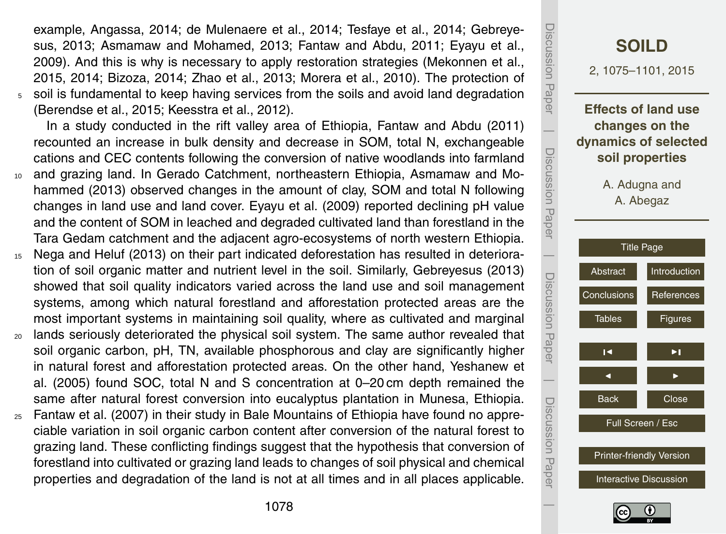example, Angassa, 2014; de Mulenaere et al., 2014; Tesfaye et al., 2014; Gebreyesus, 2013; Asmamaw and Mohamed, 2013; Fantaw and Abdu, 2011; Eyayu et al., 2009). And this is why is necessary to apply restoration strategies (Mekonnen et al., 2015, 2014; Bizoza, 2014; Zhao et al., 2013; Morera et al., 2010). The protection of <sup>5</sup> soil is fundamental to keep having services from the soils and avoid land degradation (Berendse et al., 2015; Keesstra et al., 2012).

In a study conducted in the rift valley area of Ethiopia, Fantaw and Abdu (2011) recounted an increase in bulk density and decrease in SOM, total N, exchangeable cations and CEC contents following the conversion of native woodlands into farmland

- <sup>10</sup> and grazing land. In Gerado Catchment, northeastern Ethiopia, Asmamaw and Mohammed (2013) observed changes in the amount of clay, SOM and total N following changes in land use and land cover. Eyayu et al. (2009) reported declining pH value and the content of SOM in leached and degraded cultivated land than forestland in the Tara Gedam catchment and the adjacent agro-ecosystems of north western Ethiopia.
- <sup>15</sup> Nega and Heluf (2013) on their part indicated deforestation has resulted in deterioration of soil organic matter and nutrient level in the soil. Similarly, Gebreyesus (2013) showed that soil quality indicators varied across the land use and soil management systems, among which natural forestland and afforestation protected areas are the most important systems in maintaining soil quality, where as cultivated and marginal
- <sub>20</sub> lands seriously deteriorated the physical soil system. The same author revealed that soil organic carbon, pH, TN, available phosphorous and clay are significantly higher in natural forest and afforestation protected areas. On the other hand, Yeshanew et al. (2005) found SOC, total N and S concentration at 0–20 cm depth remained the same after natural forest conversion into eucalyptus plantation in Munesa, Ethiopia.
- $25$  Fantaw et al. (2007) in their study in Bale Mountains of Ethiopia have found no appreciable variation in soil organic carbon content after conversion of the natural forest to grazing land. These conflicting findings suggest that the hypothesis that conversion of forestland into cultivated or grazing land leads to changes of soil physical and chemical properties and degradation of the land is not at all times and in all places applicable.



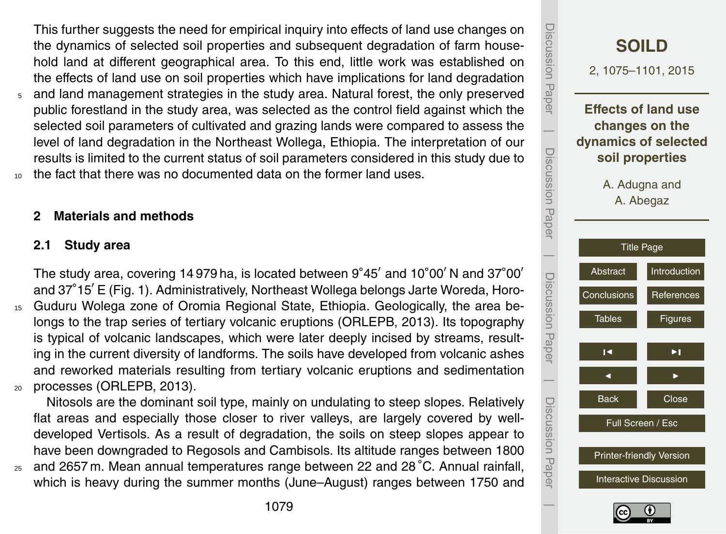This further suggests the need for empirical inquiry into effects of land use changes on the dynamics of selected soil properties and subsequent degradation of farm household land at different geographical area. To this end, little work was established on the effects of land use on soil properties which have implications for land degradation

- <sup>5</sup> and land management strategies in the study area. Natural forest, the only preserved public forestland in the study area, was selected as the control field against which the selected soil parameters of cultivated and grazing lands were compared to assess the level of land degradation in the Northeast Wollega, Ethiopia. The interpretation of our results is limited to the current status of soil parameters considered in this study due to
- the fact that there was no documented data on the former land uses.

#### **2 Materials and methods**

#### **2.1 Study area**

The study area, covering 14 979 ha, is located between  $9°45'$  and 10 $°00'$  N and 37 $°00'$ and 37°15' E (Fig. 1). Administratively, Northeast Wollega belongs Jarte Woreda, Horo-<sup>15</sup> Guduru Wolega zone of Oromia Regional State, Ethiopia. Geologically, the area belongs to the trap series of tertiary volcanic eruptions (ORLEPB, 2013). Its topography is typical of volcanic landscapes, which were later deeply incised by streams, resulting in the current diversity of landforms. The soils have developed from volcanic ashes and reworked materials resulting from tertiary volcanic eruptions and sedimentation <sup>20</sup> processes (ORLEPB, 2013).

Nitosols are the dominant soil type, mainly on undulating to steep slopes. Relatively flat areas and especially those closer to river valleys, are largely covered by welldeveloped Vertisols. As a result of degradation, the soils on steep slopes appear to have been downgraded to Regosols and Cambisols. Its altitude ranges between 1800

 $25$  and 2657 m. Mean annual temperatures range between 22 and 28 $^{\circ}$ C. Annual rainfall, which is heavy during the summer months (June–August) ranges between 1750 and



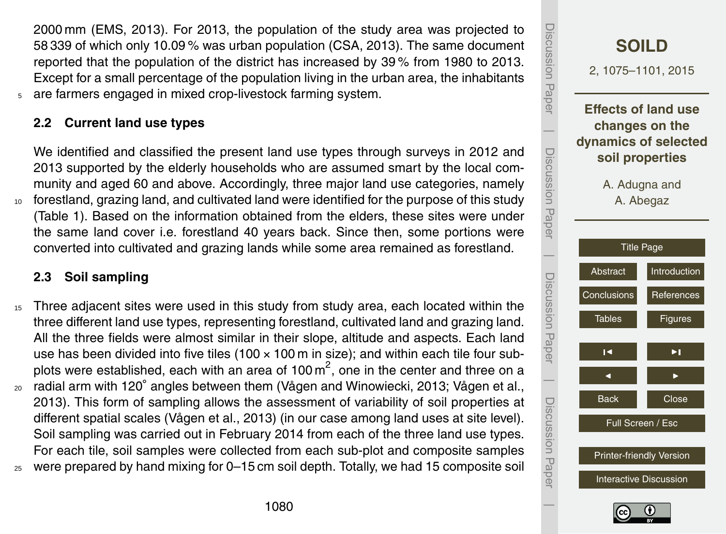2000 mm (EMS, 2013). For 2013, the population of the study area was projected to 58 339 of which only 10.09 % was urban population (CSA, 2013). The same document reported that the population of the district has increased by 39 % from 1980 to 2013. Except for a small percentage of the population living in the urban area, the inhabitants <sup>5</sup> are farmers engaged in mixed crop-livestock farming system.

# **2.2 Current land use types**

We identified and classified the present land use types through surveys in 2012 and 2013 supported by the elderly households who are assumed smart by the local community and aged 60 and above. Accordingly, three major land use categories, namely <sup>10</sup> forestland, grazing land, and cultivated land were identified for the purpose of this study (Table 1). Based on the information obtained from the elders, these sites were under the same land cover i.e. forestland 40 years back. Since then, some portions were converted into cultivated and grazing lands while some area remained as forestland.

# **2.3 Soil sampling**

<sup>15</sup> Three adjacent sites were used in this study from study area, each located within the three different land use types, representing forestland, cultivated land and grazing land. All the three fields were almost similar in their slope, altitude and aspects. Each land use has been divided into five tiles  $(100 \times 100 \text{ m})$  in size); and within each tile four subplots were established, each with an area of 100  $\text{m}^2$ , one in the center and three on a <sup>20</sup> radial arm with 120° angles between them (Vågen and Winowiecki, 2013; Vågen et al., 2013). This form of sampling allows the assessment of variability of soil properties at different spatial scales (Vågen et al., 2013) (in our case among land uses at site level). Soil sampling was carried out in February 2014 from each of the three land use types. For each tile, soil samples were collected from each sub-plot and composite samples <sup>25</sup> were prepared by hand mixing for 0–15 cm soil depth. Totally, we had 15 composite soil

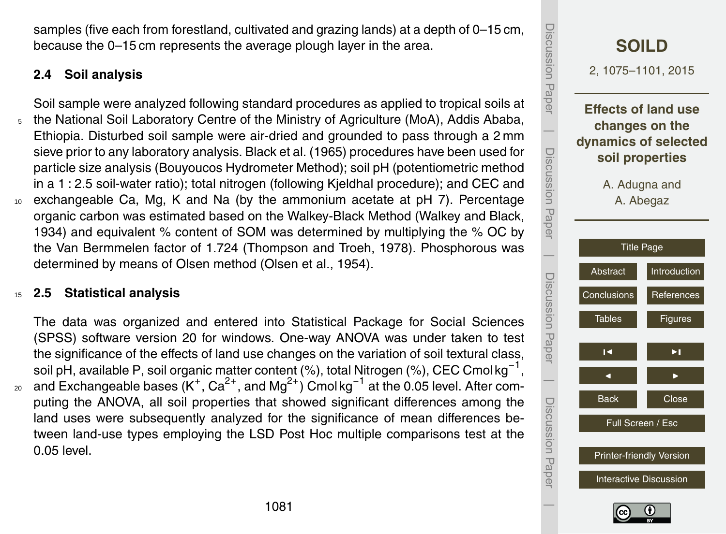samples (five each from forestland, cultivated and grazing lands) at a depth of 0–15 cm, because the 0–15 cm represents the average plough layer in the area.

# **2.4 Soil analysis**

Soil sample were analyzed following standard procedures as applied to tropical soils at <sup>5</sup> the National Soil Laboratory Centre of the Ministry of Agriculture (MoA), Addis Ababa, Ethiopia. Disturbed soil sample were air-dried and grounded to pass through a 2 mm sieve prior to any laboratory analysis. Black et al. (1965) procedures have been used for particle size analysis (Bouyoucos Hydrometer Method); soil pH (potentiometric method in a 1 : 2.5 soil-water ratio); total nitrogen (following Kjeldhal procedure); and CEC and exchangeable Ca, Mg, K and Na (by the ammonium acetate at pH 7). Percentage organic carbon was estimated based on the Walkey-Black Method (Walkey and Black, 1934) and equivalent % content of SOM was determined by multiplying the % OC by the Van Bermmelen factor of 1.724 (Thompson and Troeh, 1978). Phosphorous was determined by means of Olsen method (Olsen et al., 1954).

#### <sup>15</sup> **2.5 Statistical analysis**

The data was organized and entered into Statistical Package for Social Sciences (SPSS) software version 20 for windows. One-way ANOVA was under taken to test the significance of the effects of land use changes on the variation of soil textural class, soil pH, available P, soil organic matter content (%), total Nitrogen (%), CEC Cmol kg<sup>-1</sup>, 20 and Exchangeable bases (K<sup>+</sup>, Ca<sup>2+</sup>, and Mg<sup>2+</sup>) Cmol kg<sup>-1</sup> at the 0.05 level. After computing the ANOVA, all soil properties that showed significant differences among the land uses were subsequently analyzed for the significance of mean differences between land-use types employing the LSD Post Hoc multiple comparisons test at the 0.05 level.

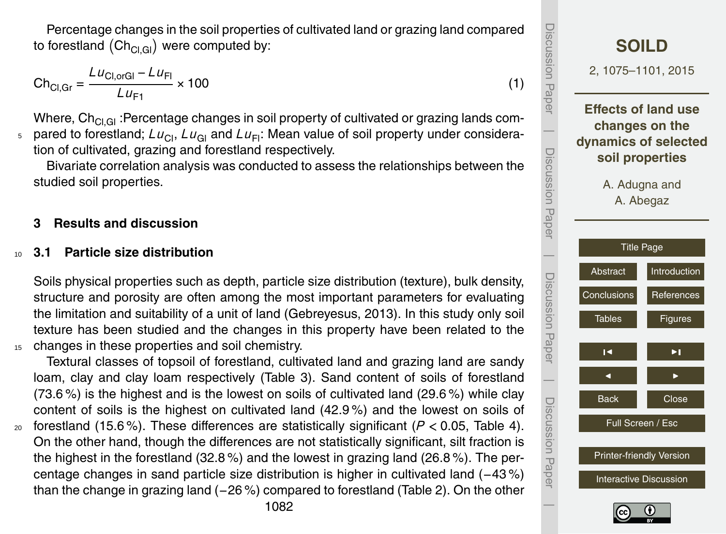Percentage changes in the soil properties of cultivated land or grazing land compared to forestland  $(\mathsf{Ch}_{\mathsf{Cl},\mathsf{Gl}})$  were computed by:

$$
Ch_{Cl,Gr} = \frac{LU_{Cl,orGl} - LU_{Fl}}{LU_{F1}} \times 100
$$
 (1)

Where,  $Ch_{Cl,GI}$ : Percentage changes in soil property of cultivated or grazing lands com- $_5$  pared to forestland;  $L_{U_{\text{Cl}}}$ ,  $L_{U_{\text{Cl}}}$  and  $L_{U_{\text{Fl}}}$ . Mean value of soil property under consideration of cultivated, grazing and forestland respectively.

Bivariate correlation analysis was conducted to assess the relationships between the studied soil properties.

# **3 Results and discussion**

#### <sup>10</sup> **3.1 Particle size distribution**

Soils physical properties such as depth, particle size distribution (texture), bulk density, structure and porosity are often among the most important parameters for evaluating the limitation and suitability of a unit of land (Gebreyesus, 2013). In this study only soil texture has been studied and the changes in this property have been related to the <sup>15</sup> changes in these properties and soil chemistry.

Textural classes of topsoil of forestland, cultivated land and grazing land are sandy loam, clay and clay loam respectively (Table 3). Sand content of soils of forestland (73.6 %) is the highest and is the lowest on soils of cultivated land (29.6 %) while clay content of soils is the highest on cultivated land (42.9 %) and the lowest on soils of 20 forestland (15.6%). These differences are statistically significant ( $P < 0.05$ , Table 4). On the other hand, though the differences are not statistically significant, silt fraction is the highest in the forestland (32.8 %) and the lowest in grazing land (26.8 %). The percentage changes in sand particle size distribution is higher in cultivated land (−43 %) than the change in grazing land (−26 %) compared to forestland (Table 2). On the other

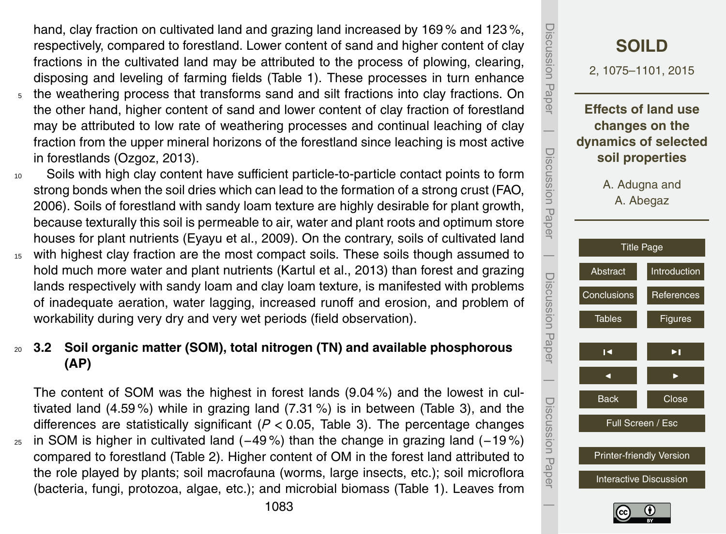hand, clay fraction on cultivated land and grazing land increased by 169 % and 123 %, respectively, compared to forestland. Lower content of sand and higher content of clay fractions in the cultivated land may be attributed to the process of plowing, clearing, disposing and leveling of farming fields (Table 1). These processes in turn enhance

- <sup>5</sup> the weathering process that transforms sand and silt fractions into clay fractions. On the other hand, higher content of sand and lower content of clay fraction of forestland may be attributed to low rate of weathering processes and continual leaching of clay fraction from the upper mineral horizons of the forestland since leaching is most active in forestlands (Ozgoz, 2013).
- <sup>10</sup> Soils with high clay content have sufficient particle-to-particle contact points to form strong bonds when the soil dries which can lead to the formation of a strong crust (FAO, 2006). Soils of forestland with sandy loam texture are highly desirable for plant growth, because texturally this soil is permeable to air, water and plant roots and optimum store houses for plant nutrients (Eyayu et al., 2009). On the contrary, soils of cultivated land <sup>15</sup> with highest clay fraction are the most compact soils. These soils though assumed to
- hold much more water and plant nutrients (Kartul et al., 2013) than forest and grazing lands respectively with sandy loam and clay loam texture, is manifested with problems of inadequate aeration, water lagging, increased runoff and erosion, and problem of workability during very dry and very wet periods (field observation).

# <sup>20</sup> **3.2 Soil organic matter (SOM), total nitrogen (TN) and available phosphorous (AP)**

The content of SOM was the highest in forest lands (9.04 %) and the lowest in cultivated land (4.59 %) while in grazing land (7.31 %) is in between (Table 3), and the differences are statistically significant (*P <* 0.05, Table 3). The percentage changes  $_{25}$  in SOM is higher in cultivated land (−49%) than the change in grazing land (−19%) compared to forestland (Table 2). Higher content of OM in the forest land attributed to the role played by plants; soil macrofauna (worms, large insects, etc.); soil microflora (bacteria, fungi, protozoa, algae, etc.); and microbial biomass (Table 1). Leaves from



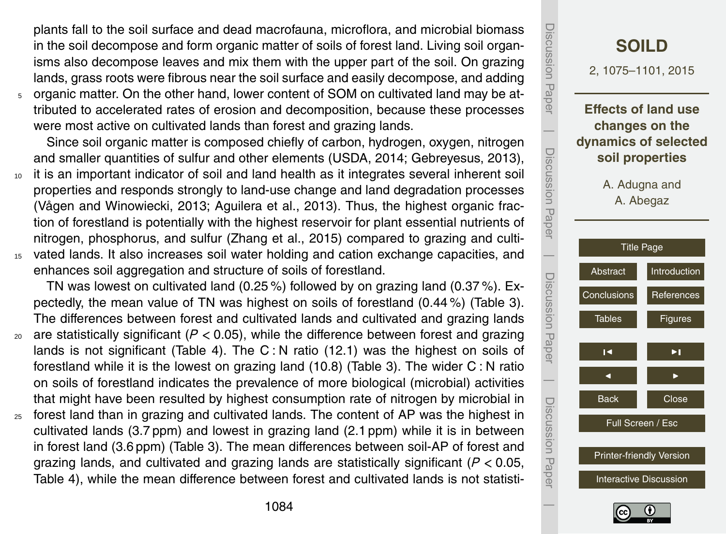plants fall to the soil surface and dead macrofauna, microflora, and microbial biomass in the soil decompose and form organic matter of soils of forest land. Living soil organisms also decompose leaves and mix them with the upper part of the soil. On grazing lands, grass roots were fibrous near the soil surface and easily decompose, and adding

<sup>5</sup> organic matter. On the other hand, lower content of SOM on cultivated land may be attributed to accelerated rates of erosion and decomposition, because these processes were most active on cultivated lands than forest and grazing lands.

Since soil organic matter is composed chiefly of carbon, hydrogen, oxygen, nitrogen and smaller quantities of sulfur and other elements (USDA, 2014; Gebreyesus, 2013),

<sup>10</sup> it is an important indicator of soil and land health as it integrates several inherent soil properties and responds strongly to land-use change and land degradation processes (Vågen and Winowiecki, 2013; Aguilera et al., 2013). Thus, the highest organic fraction of forestland is potentially with the highest reservoir for plant essential nutrients of nitrogen, phosphorus, and sulfur (Zhang et al., 2015) compared to grazing and culti-<sup>15</sup> vated lands. It also increases soil water holding and cation exchange capacities, and enhances soil aggregation and structure of soils of forestland.

TN was lowest on cultivated land (0.25 %) followed by on grazing land (0.37 %). Expectedly, the mean value of TN was highest on soils of forestland (0.44 %) (Table 3). The differences between forest and cultivated lands and cultivated and grazing lands

- <sup>20</sup> are statistically significant (*P <* 0.05), while the difference between forest and grazing lands is not significant (Table 4). The  $C: N$  ratio (12.1) was the highest on soils of forestland while it is the lowest on grazing land (10.8) (Table 3). The wider C : N ratio on soils of forestland indicates the prevalence of more biological (microbial) activities that might have been resulted by highest consumption rate of nitrogen by microbial in
- <sup>25</sup> forest land than in grazing and cultivated lands. The content of AP was the highest in cultivated lands (3.7 ppm) and lowest in grazing land (2.1 ppm) while it is in between in forest land (3.6 ppm) (Table 3). The mean differences between soil-AP of forest and grazing lands, and cultivated and grazing lands are statistically significant (*P <* 0.05, Table 4), while the mean difference between forest and cultivated lands is not statisti-

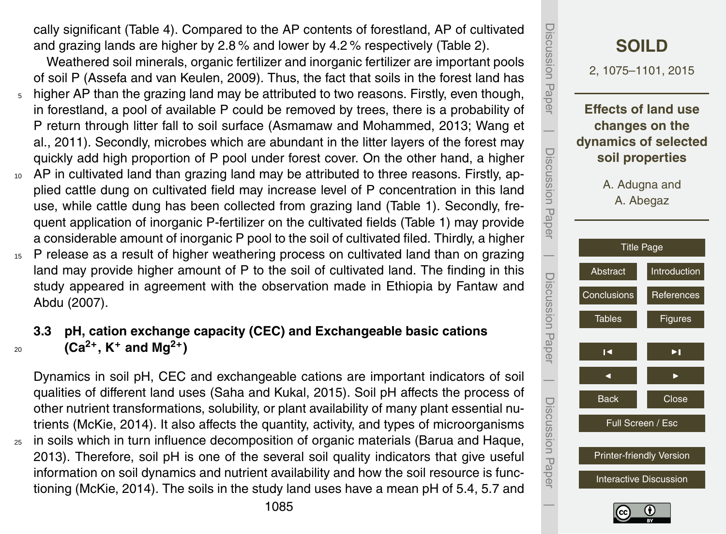cally significant (Table 4). Compared to the AP contents of forestland, AP of cultivated and grazing lands are higher by 2.8 % and lower by 4.2 % respectively (Table 2).

Weathered soil minerals, organic fertilizer and inorganic fertilizer are important pools of soil P (Assefa and van Keulen, 2009). Thus, the fact that soils in the forest land has

- <sup>5</sup> higher AP than the grazing land may be attributed to two reasons. Firstly, even though, in forestland, a pool of available P could be removed by trees, there is a probability of P return through litter fall to soil surface (Asmamaw and Mohammed, 2013; Wang et al., 2011). Secondly, microbes which are abundant in the litter layers of the forest may quickly add high proportion of P pool under forest cover. On the other hand, a higher
- <sup>10</sup> AP in cultivated land than grazing land may be attributed to three reasons. Firstly, applied cattle dung on cultivated field may increase level of P concentration in this land use, while cattle dung has been collected from grazing land (Table 1). Secondly, frequent application of inorganic P-fertilizer on the cultivated fields (Table 1) may provide a considerable amount of inorganic P pool to the soil of cultivated filed. Thirdly, a higher
- <sup>15</sup> P release as a result of higher weathering process on cultivated land than on grazing land may provide higher amount of P to the soil of cultivated land. The finding in this study appeared in agreement with the observation made in Ethiopia by Fantaw and Abdu (2007).

# **3.3 pH, cation exchange capacity (CEC) and Exchangeable basic cations** 20 **(Ca<sup>2+</sup>, K<sup>+</sup> and Mg<sup>2+</sup>)</sub>**

Dynamics in soil pH, CEC and exchangeable cations are important indicators of soil qualities of different land uses (Saha and Kukal, 2015). Soil pH affects the process of other nutrient transformations, solubility, or plant availability of many plant essential nutrients (McKie, 2014). It also affects the quantity, activity, and types of microorganisms <sub>25</sub> in soils which in turn influence decomposition of organic materials (Barua and Haque, 2013). Therefore, soil pH is one of the several soil quality indicators that give useful information on soil dynamics and nutrient availability and how the soil resource is functioning (McKie, 2014). The soils in the study land uses have a mean pH of 5.4, 5.7 and



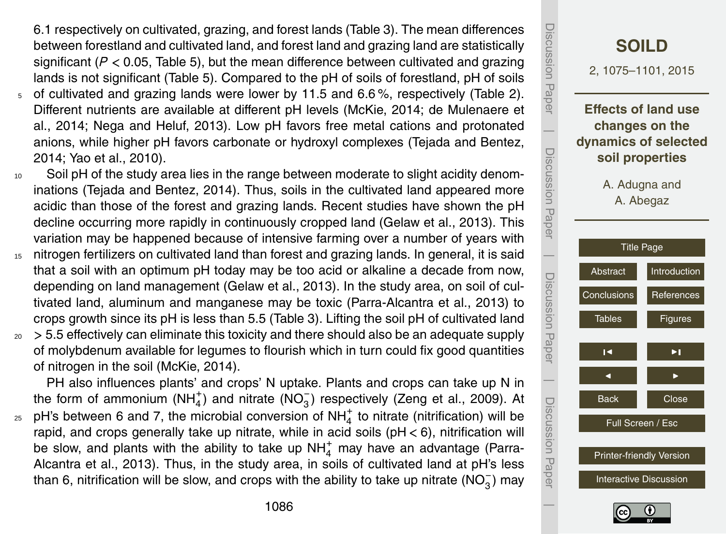6.1 respectively on cultivated, grazing, and forest lands (Table 3). The mean differences between forestland and cultivated land, and forest land and grazing land are statistically significant (*P <* 0.05, Table 5), but the mean difference between cultivated and grazing lands is not significant (Table 5). Compared to the pH of soils of forestland, pH of soils

- <sup>5</sup> of cultivated and grazing lands were lower by 11.5 and 6.6 %, respectively (Table 2). Different nutrients are available at different pH levels (McKie, 2014; de Mulenaere et al., 2014; Nega and Heluf, 2013). Low pH favors free metal cations and protonated anions, while higher pH favors carbonate or hydroxyl complexes (Tejada and Bentez, 2014; Yao et al., 2010).
- <sup>10</sup> Soil pH of the study area lies in the range between moderate to slight acidity denominations (Tejada and Bentez, 2014). Thus, soils in the cultivated land appeared more acidic than those of the forest and grazing lands. Recent studies have shown the pH decline occurring more rapidly in continuously cropped land (Gelaw et al., 2013). This variation may be happened because of intensive farming over a number of years with
- <sup>15</sup> nitrogen fertilizers on cultivated land than forest and grazing lands. In general, it is said that a soil with an optimum pH today may be too acid or alkaline a decade from now, depending on land management (Gelaw et al., 2013). In the study area, on soil of cultivated land, aluminum and manganese may be toxic (Parra-Alcantra et al., 2013) to crops growth since its pH is less than 5.5 (Table 3). Lifting the soil pH of cultivated land
- <sup>20</sup> *>* 5.5 effectively can eliminate this toxicity and there should also be an adequate supply of molybdenum available for legumes to flourish which in turn could fix good quantities of nitrogen in the soil (McKie, 2014).

PH also influences plants' and crops' N uptake. Plants and crops can take up N in the form of ammonium (NH<sub>4</sub>) and nitrate (NO<sub>3</sub>) respectively (Zeng et al., 2009). At

<sub>25</sub> pH's between 6 and 7, the microbial conversion of NH $_4^+$  to nitrate (nitrification) will be rapid, and crops generally take up nitrate, while in acid soils (pH *<* 6), nitrification will be slow, and plants with the ability to take up  $NH_4^+$  may have an advantage (Parra-Alcantra et al., 2013). Thus, in the study area, in soils of cultivated land at pH's less than 6, nitrification will be slow, and crops with the ability to take up nitrate (NO<sub>3</sub>) may



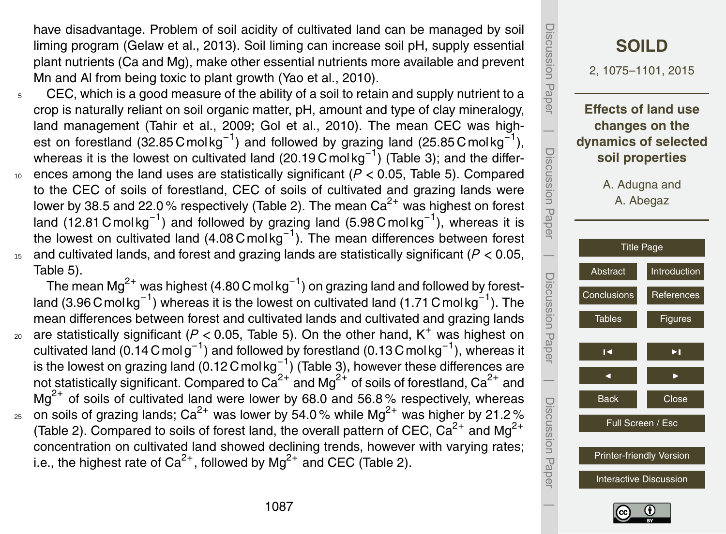have disadvantage. Problem of soil acidity of cultivated land can be managed by soil liming program (Gelaw et al., 2013). Soil liming can increase soil pH, supply essential plant nutrients (Ca and Mg), make other essential nutrients more available and prevent Mn and Al from being toxic to plant growth (Yao et al., 2010).

- $5$  CEC, which is a good measure of the ability of a soil to retain and supply nutrient to a crop is naturally reliant on soil organic matter, pH, amount and type of clay mineralogy, land management (Tahir et al., 2009; Gol et al., 2010). The mean CEC was highest on forestland (32.85 Cmolkg<sup>-1</sup>) and followed by grazing land (25.85 Cmolkg<sup>-1</sup>), whereas it is the lowest on cultivated land (20.19 Cmol kg<sup>-1</sup>) (Table 3); and the differ-<sup>10</sup> ences among the land uses are statistically significant (*P <* 0.05, Table 5). Compared
- to the CEC of soils of forestland, CEC of soils of cultivated and grazing lands were lower by 38.5 and 22.0 % respectively (Table 2). The mean  $Ca^{2+}$  was highest on forest land (12.81 Cmolkg<sup>-1</sup>) and followed by grazing land (5.98 Cmolkg<sup>-1</sup>), whereas it is the lowest on cultivated land (4.08 Cmolkg<sup>-1</sup>). The mean differences between forest <sup>15</sup> and cultivated lands, and forest and grazing lands are statistically significant (*P <* 0.05, Table 5).

The mean Mg<sup>2+</sup> was highest (4.80 C mol kg<sup>-1</sup>) on grazing land and followed by forestland (3.96 Cmol kg<sup>-1</sup>) whereas it is the lowest on cultivated land (1.71 Cmol kg<sup>-1</sup>). The mean differences between forest and cultivated lands and cultivated and grazing lands  $_{20}$  are statistically significant ( $P < 0.05$ , Table 5). On the other hand, K<sup>+</sup> was highest on cultivated land (0.14 Cmol g<sup>-1</sup>) and followed by forestland (0.13 Cmol kg<sup>-1</sup>), whereas it is the lowest on grazing land (0.12 C mol kg $^{-1}$ ) (Table 3), however these differences are not statistically significant. Compared to  $\text{Ca}^{2+}$  and Mg<sup>2+</sup> of soils of forestland,  $\text{Ca}^{2+}$  and  $Mg^{2+}$  of soils of cultivated land were lower by 68.0 and 56.8% respectively, whereas  $_{25}$  on soils of grazing lands; Ca<sup>2+</sup> was lower by 54.0% while Mg<sup>2+</sup> was higher by 21.2% (Table 2). Compared to soils of forest land, the overall pattern of CEC,  $Ca^{2+}$  and Mg<sup>2+</sup> concentration on cultivated land showed declining trends, however with varying rates; i.e., the highest rate of Ca<sup>2+</sup>, followed by Mg<sup>2+</sup> and CEC (Table 2).



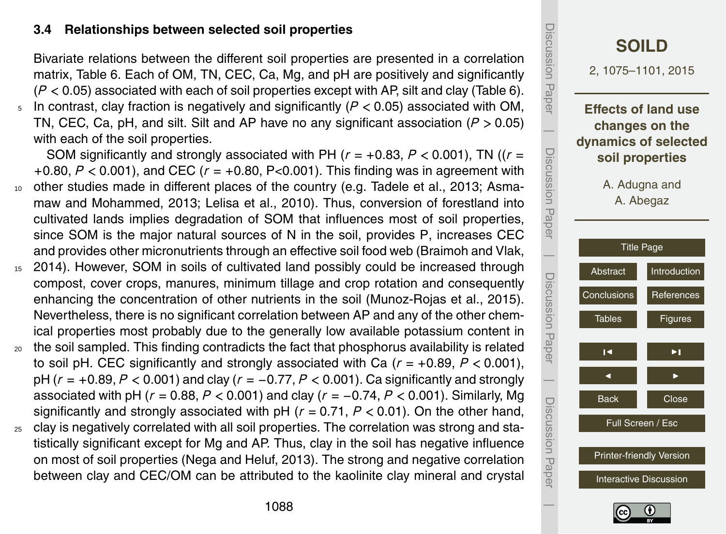#### **3.4 Relationships between selected soil properties**

Bivariate relations between the different soil properties are presented in a correlation matrix, Table 6. Each of OM, TN, CEC, Ca, Mg, and pH are positively and significantly (*P <* 0.05) associated with each of soil properties except with AP, silt and clay (Table 6).

<sup>5</sup> In contrast, clay fraction is negatively and significantly (*P <* 0.05) associated with OM, TN, CEC, Ca, pH, and silt. Silt and AP have no any significant association (*P >* 0.05) with each of the soil properties.

SOM significantly and strongly associated with PH ( $r = +0.83$ ,  $P < 0.001$ ), TN ( $r =$ +0.80, *P <* 0.001), and CEC (*r* = +0.80, P<0.001). This finding was in agreement with <sup>10</sup> other studies made in different places of the country (e.g. Tadele et al., 2013; Asma-

- maw and Mohammed, 2013; Lelisa et al., 2010). Thus, conversion of forestland into cultivated lands implies degradation of SOM that influences most of soil properties, since SOM is the major natural sources of N in the soil, provides P, increases CEC and provides other micronutrients through an effective soil food web (Braimoh and Vlak,
- <sup>15</sup> 2014). However, SOM in soils of cultivated land possibly could be increased through compost, cover crops, manures, minimum tillage and crop rotation and consequently enhancing the concentration of other nutrients in the soil (Munoz-Rojas et al., 2015). Nevertheless, there is no significant correlation between AP and any of the other chemical properties most probably due to the generally low available potassium content in
- <sub>20</sub> the soil sampled. This finding contradicts the fact that phosphorus availability is related to soil pH. CEC significantly and strongly associated with Ca (*r* = +0.89, *P <* 0.001), pH (*r* = +0.89, *P <* 0.001) and clay (*r* = −0.77, *P <* 0.001). Ca significantly and strongly associated with pH (*r* = 0.88, *P <* 0.001) and clay (*r* = −0.74, *P <* 0.001). Similarly, Mg significantly and strongly associated with pH (*r* = 0.71, *P <* 0.01). On the other hand,
- $25$  clay is negatively correlated with all soil properties. The correlation was strong and statistically significant except for Mg and AP. Thus, clay in the soil has negative influence on most of soil properties (Nega and Heluf, 2013). The strong and negative correlation between clay and CEC/OM can be attributed to the kaolinite clay mineral and crystal



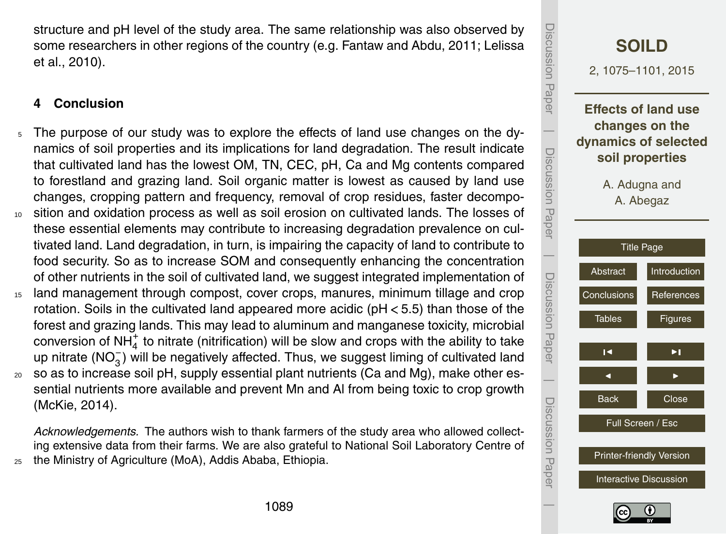<span id="page-14-0"></span>structure and pH level of the study area. The same relationship was also observed by some researchers in other regions of the country (e.g. Fantaw and Abdu, 2011; Lelissa et al., 2010).

# **4 Conclusion**

- The purpose of our study was to explore the effects of land use changes on the dynamics of soil properties and its implications for land degradation. The result indicate that cultivated land has the lowest OM, TN, CEC, pH, Ca and Mg contents compared to forestland and grazing land. Soil organic matter is lowest as caused by land use changes, cropping pattern and frequency, removal of crop residues, faster decompo-<sup>10</sup> sition and oxidation process as well as soil erosion on cultivated lands. The losses of these essential elements may contribute to increasing degradation prevalence on cultivated land. Land degradation, in turn, is impairing the capacity of land to contribute to food security. So as to increase SOM and consequently enhancing the concentration of other nutrients in the soil of cultivated land, we suggest integrated implementation of
- <sup>15</sup> land management through compost, cover crops, manures, minimum tillage and crop rotation. Soils in the cultivated land appeared more acidic (pH *<* 5.5) than those of the forest and grazing lands. This may lead to aluminum and manganese toxicity, microbial conversion of NH $_4^+$  to nitrate (nitrification) will be slow and crops with the ability to take up nitrate (NO<sub>3</sub>) will be negatively affected. Thus, we suggest liming of cultivated land <sup>20</sup> so as to increase soil pH, supply essential plant nutrients (Ca and Mg), make other essential nutrients more available and prevent Mn and Al from being toxic to crop growth
	- (McKie, 2014).

*Acknowledgements.* The authors wish to thank farmers of the study area who allowed collecting extensive data from their farms. We are also grateful to National Soil Laboratory Centre of <sup>25</sup> the Ministry of Agriculture (MoA), Addis Ababa, Ethiopia.

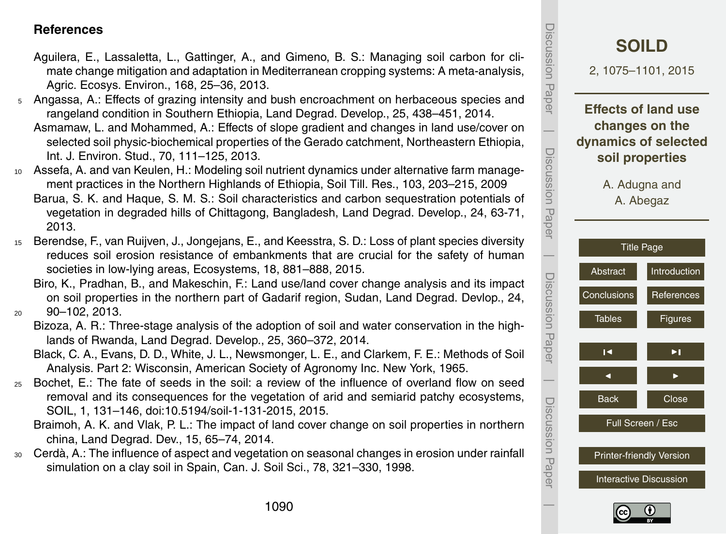#### <span id="page-15-0"></span>**References**

- Aguilera, E., Lassaletta, L., Gattinger, A., and Gimeno, B. S.: Managing soil carbon for climate change mitigation and adaptation in Mediterranean cropping systems: A meta-analysis, Agric. Ecosys. Environ., 168, 25–36, 2013.
- <sup>5</sup> Angassa, A.: Effects of grazing intensity and bush encroachment on herbaceous species and rangeland condition in Southern Ethiopia, Land Degrad. Develop., 25, 438–451, 2014.
	- Asmamaw, L. and Mohammed, A.: Effects of slope gradient and changes in land use/cover on selected soil physic-biochemical properties of the Gerado catchment, Northeastern Ethiopia, Int. J. Environ. Stud., 70, 111–125, 2013.
- <sup>10</sup> Assefa, A. and van Keulen, H.: Modeling soil nutrient dynamics under alternative farm management practices in the Northern Highlands of Ethiopia, Soil Till. Res., 103, 203–215, 2009 Barua, S. K. and Haque, S. M. S.: Soil characteristics and carbon sequestration potentials of vegetation in degraded hills of Chittagong, Bangladesh, Land Degrad. Develop., 24, 63-71, 2013.
- <sup>15</sup> Berendse, F., van Ruijven, J., Jongejans, E., and Keesstra, S. D.: Loss of plant species diversity reduces soil erosion resistance of embankments that are crucial for the safety of human societies in low-lying areas, Ecosystems, 18, 881–888, 2015.
- Biro, K., Pradhan, B., and Makeschin, F.: Land use/land cover change analysis and its impact on soil properties in the northern part of Gadarif region, Sudan, Land Degrad. Devlop., 24, <sup>20</sup> 90–102, 2013.
	- Bizoza, A. R.: Three-stage analysis of the adoption of soil and water conservation in the highlands of Rwanda, Land Degrad. Develop., 25, 360–372, 2014.
	- Black, C. A., Evans, D. D., White, J. L., Newsmonger, L. E., and Clarkem, F. E.: Methods of Soil Analysis. Part 2: Wisconsin, American Society of Agronomy Inc. New York, 1965.
- <sup>25</sup> Bochet, E.: The fate of seeds in the soil: a review of the influence of overland flow on seed removal and its consequences for the vegetation of arid and semiarid patchy ecosystems, SOIL, 1, 131–146, doi[:10.5194/soil-1-131-2015,](http://dx.doi.org/10.5194/soil-1-131-2015) 2015.
	- Braimoh, A. K. and Vlak, P. L.: The impact of land cover change on soil properties in northern china, Land Degrad. Dev., 15, 65–74, 2014.
- <sup>30</sup> Cerdà, A.: The influence of aspect and vegetation on seasonal changes in erosion under rainfall simulation on a clay soil in Spain, Can. J. Soil Sci., 78, 321–330, 1998.



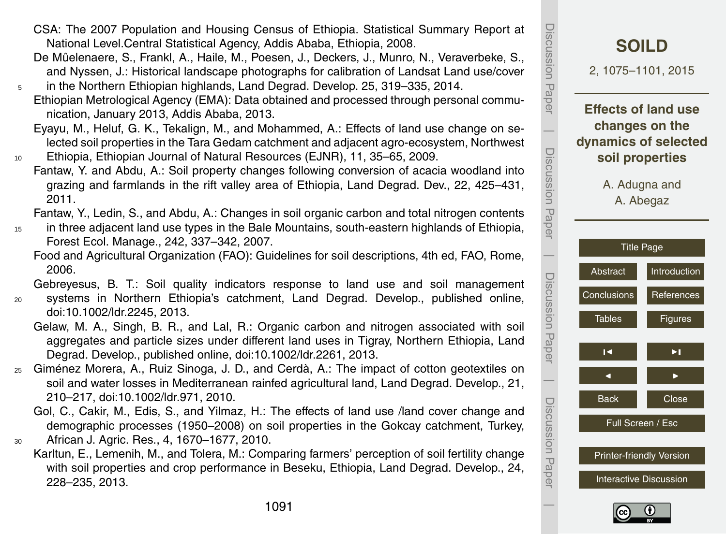Discussion Paper  $\overline{\phantom{a}}$ 

Discussion Paper

Discussion

 $\overline{\phantom{a}}$ 

Paper

Discussion Paper

Discussion

 $\overline{\phantom{a}}$ 

Paper

Discussion Paper

Discussion Paper

 $\overline{\phantom{a}}$ 

Discussion Paper

#### CSA: The 2007 Population and Housing Census of Ethiopia. Statistical Summary Report at National Level.Central Statistical Agency, Addis Ababa, Ethiopia, 2008.

- De Mûelenaere, S., Frankl, A., Haile, M., Poesen, J., Deckers, J., Munro, N., Veraverbeke, S., and Nyssen, J.: Historical landscape photographs for calibration of Landsat Land use/cover
- <sup>5</sup> in the Northern Ethiopian highlands, Land Degrad. Develop. 25, 319–335, 2014. Ethiopian Metrological Agency (EMA): Data obtained and processed through personal communication, January 2013, Addis Ababa, 2013.
- Eyayu, M., Heluf, G. K., Tekalign, M., and Mohammed, A.: Effects of land use change on selected soil properties in the Tara Gedam catchment and adjacent agro-ecosystem, Northwest <sup>10</sup> Ethiopia, Ethiopian Journal of Natural Resources (EJNR), 11, 35–65, 2009.
	- Fantaw, Y. and Abdu, A.: Soil property changes following conversion of acacia woodland into grazing and farmlands in the rift valley area of Ethiopia, Land Degrad. Dev., 22, 425–431, 2011.

Fantaw, Y., Ledin, S., and Abdu, A.: Changes in soil organic carbon and total nitrogen contents

- <sup>15</sup> in three adjacent land use types in the Bale Mountains, south-eastern highlands of Ethiopia, Forest Ecol. Manage., 242, 337–342, 2007.
	- Food and Agricultural Organization (FAO): Guidelines for soil descriptions, 4th ed, FAO, Rome, 2006.

Gebreyesus, B. T.: Soil quality indicators response to land use and soil management <sup>20</sup> systems in Northern Ethiopia's catchment, Land Degrad. Develop., published online, doi[:10.1002/ldr.2245,](http://dx.doi.org/10.1002/ldr.2245) 2013.

- Gelaw, M. A., Singh, B. R., and Lal, R.: Organic carbon and nitrogen associated with soil aggregates and particle sizes under different land uses in Tigray, Northern Ethiopia, Land Degrad. Develop., published online, doi[:10.1002/ldr.2261,](http://dx.doi.org/10.1002/ldr.2261) 2013.
- <sup>25</sup> Giménez Morera, A., Ruiz Sinoga, J. D., and Cerdà, A.: The impact of cotton geotextiles on soil and water losses in Mediterranean rainfed agricultural land, Land Degrad. Develop., 21, 210–217, doi[:10.1002/ldr.971,](http://dx.doi.org/10.1002/ldr.971) 2010.
	- Gol, C., Cakir, M., Edis, S., and Yilmaz, H.: The effects of land use /land cover change and demographic processes (1950–2008) on soil properties in the Gokcay catchment, Turkey,
- <sup>30</sup> African J. Agric. Res., 4, 1670–1677, 2010.
	- Karltun, E., Lemenih, M., and Tolera, M.: Comparing farmers' perception of soil fertility change with soil properties and crop performance in Beseku, Ethiopia, Land Degrad. Develop., 24, 228–235, 2013.



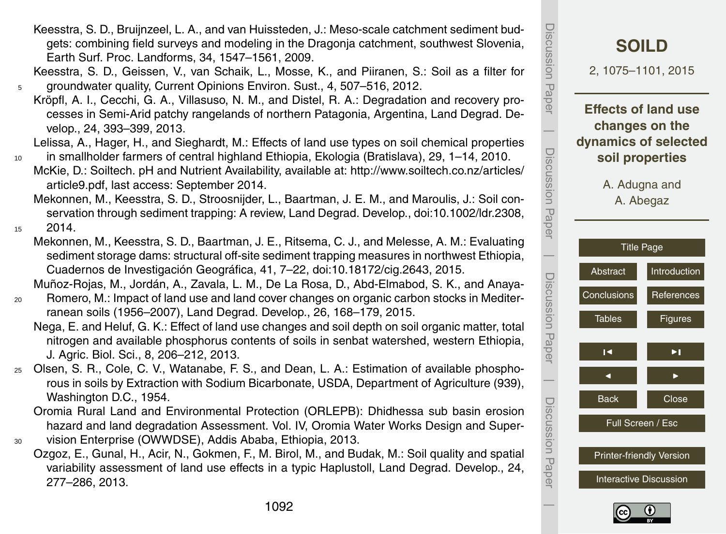1092

Keesstra, S. D., Bruijnzeel, L. A., and van Huissteden, J.: Meso-scale catchment sediment budgets: combining field surveys and modeling in the Dragonja catchment, southwest Slovenia, Earth Surf. Proc. Landforms, 34, 1547–1561, 2009.

Keesstra, S. D., Geissen, V., van Schaik, L., Mosse, K., and Piiranen, S.: Soil as a filter for <sup>5</sup> groundwater quality, Current Opinions Environ. Sust., 4, 507–516, 2012.

Kröpfl, A. I., Cecchi, G. A., Villasuso, N. M., and Distel, R. A.: Degradation and recovery processes in Semi-Arid patchy rangelands of northern Patagonia, Argentina, Land Degrad. Develop., 24, 393–399, 2013.

Lelissa, A., Hager, H., and Sieghardt, M.: Effects of land use types on soil chemical properties

<sup>10</sup> in smallholder farmers of central highland Ethiopia, Ekologia (Bratislava), 29, 1–14, 2010. [M](http://www.soiltech.co.nz/ articles/ article9.pdf)cKie, D.: Soiltech. pH and Nutrient Availability, available at: [http://www.soiltech.co.nz/articles/](http://www.soiltech.co.nz/ articles/ article9.pdf) [article9.pdf,](http://www.soiltech.co.nz/ articles/ article9.pdf) last access: September 2014.

Mekonnen, M., Keesstra, S. D., Stroosnijder, L., Baartman, J. E. M., and Maroulis, J.: Soil conservation through sediment trapping: A review, Land Degrad. Develop., doi[:10.1002/ldr.2308,](http://dx.doi.org/10.1002/ldr.2308)  $15$  2014.

Mekonnen, M., Keesstra, S. D., Baartman, J. E., Ritsema, C. J., and Melesse, A. M.: Evaluating sediment storage dams: structural off-site sediment trapping measures in northwest Ethiopia, Cuadernos de Investigación Geográfica, 41, 7–22, doi[:10.18172/cig.2643,](http://dx.doi.org/10.18172/cig.2643) 2015.

Muñoz-Rojas, M., Jordán, A., Zavala, L. M., De La Rosa, D., Abd-Elmabod, S. K., and Anaya-<sup>20</sup> Romero, M.: Impact of land use and land cover changes on organic carbon stocks in Mediterranean soils (1956–2007), Land Degrad. Develop., 26, 168–179, 2015.

- Nega, E. and Heluf, G. K.: Effect of land use changes and soil depth on soil organic matter, total nitrogen and available phosphorus contents of soils in senbat watershed, western Ethiopia, J. Agric. Biol. Sci., 8, 206–212, 2013.
- <sup>25</sup> Olsen, S. R., Cole, C. V., Watanabe, F. S., and Dean, L. A.: Estimation of available phosphorous in soils by Extraction with Sodium Bicarbonate, USDA, Department of Agriculture (939), Washington D.C., 1954.

Oromia Rural Land and Environmental Protection (ORLEPB): Dhidhessa sub basin erosion hazard and land degradation Assessment. Vol. IV, Oromia Water Works Design and Super-

- <sup>30</sup> vision Enterprise (OWWDSE), Addis Ababa, Ethiopia, 2013.
	- Ozgoz, E., Gunal, H., Acir, N., Gokmen, F., M. Birol, M., and Budak, M.: Soil quality and spatial variability assessment of land use effects in a typic Haplustoll, Land Degrad. Develop., 24, 277–286, 2013.



Discussion Paper

Paper

Discussion

 $\overline{\phantom{a}}$ 

Discussion Paper

Discussion

 $\overline{\phantom{a}}$ 

Paper

Discussion Paper

Discussion Paper

 $\overline{\phantom{a}}$ 

Discussion Paper

Discussion Paper

 $\overline{\phantom{a}}$ 

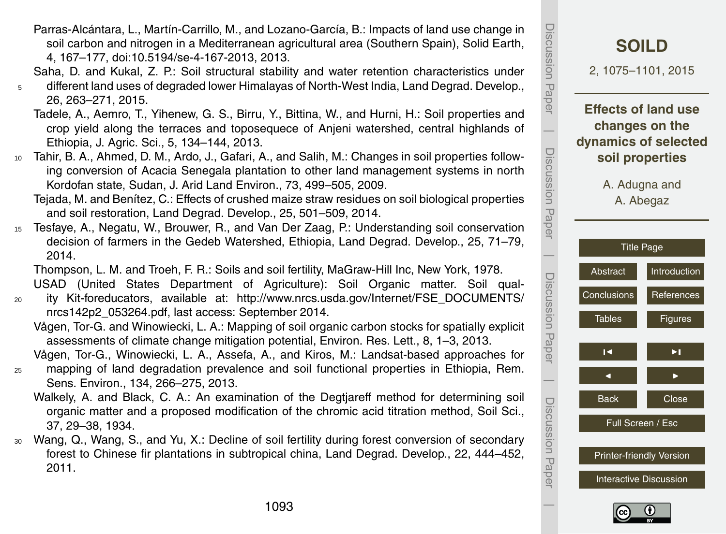- Parras-Alcántara, L., Martín-Carrillo, M., and Lozano-García, B.: Impacts of land use change in soil carbon and nitrogen in a Mediterranean agricultural area (Southern Spain), Solid Earth, 4, 167–177, doi[:10.5194/se-4-167-2013,](http://dx.doi.org/10.5194/se-4-167-2013) 2013.
- Saha, D. and Kukal, Z. P.: Soil structural stability and water retention characteristics under
- <sup>5</sup> different land uses of degraded lower Himalayas of North-West India, Land Degrad. Develop., 26, 263–271, 2015.
	- Tadele, A., Aemro, T., Yihenew, G. S., Birru, Y., Bittina, W., and Hurni, H.: Soil properties and crop yield along the terraces and toposequece of Anjeni watershed, central highlands of Ethiopia, J. Agric. Sci., 5, 134–144, 2013.
- <sup>10</sup> Tahir, B. A., Ahmed, D. M., Ardo, J., Gafari, A., and Salih, M.: Changes in soil properties following conversion of Acacia Senegala plantation to other land management systems in north Kordofan state, Sudan, J. Arid Land Environ., 73, 499–505, 2009.
	- Tejada, M. and Benítez, C.: Effects of crushed maize straw residues on soil biological properties and soil restoration, Land Degrad. Develop., 25, 501–509, 2014.
- <sup>15</sup> Tesfaye, A., Negatu, W., Brouwer, R., and Van Der Zaag, P.: Understanding soil conservation decision of farmers in the Gedeb Watershed, Ethiopia, Land Degrad. Develop., 25, 71–79, 2014.

Thompson, L. M. and Troeh, F. R.: Soils and soil fertility, MaGraw-Hill Inc, New York, 1978. USAD (United States Department of Agriculture): Soil Organic matter. Soil qual-

- <sup>20</sup> ity Kit-foreducators, available at: [http://www.nrcs.usda.gov/Internet/FSE\\_DOCUMENTS/](http://www.nrcs.usda.gov/Internet/FSE_DOCUMENTS/nrcs142p2_053264.pdf) [nrcs142p2\\_053264.pdf,](http://www.nrcs.usda.gov/Internet/FSE_DOCUMENTS/nrcs142p2_053264.pdf) last access: September 2014.
	- Vågen, Tor-G. and Winowiecki, L. A.: Mapping of soil organic carbon stocks for spatially explicit assessments of climate change mitigation potential, Environ. Res. Lett., 8, 1–3, 2013.

Vågen, Tor-G., Winowiecki, L. A., Assefa, A., and Kiros, M.: Landsat-based approaches for

- <sup>25</sup> mapping of land degradation prevalence and soil functional properties in Ethiopia, Rem. Sens. Environ., 134, 266–275, 2013.
	- Walkely, A. and Black, C. A.: An examination of the Degtjareff method for determining soil organic matter and a proposed modification of the chromic acid titration method, Soil Sci., 37, 29–38, 1934.
- <sup>30</sup> Wang, Q., Wang, S., and Yu, X.: Decline of soil fertility during forest conversion of secondary forest to Chinese fir plantations in subtropical china, Land Degrad. Develop., 22, 444–452, 2011.



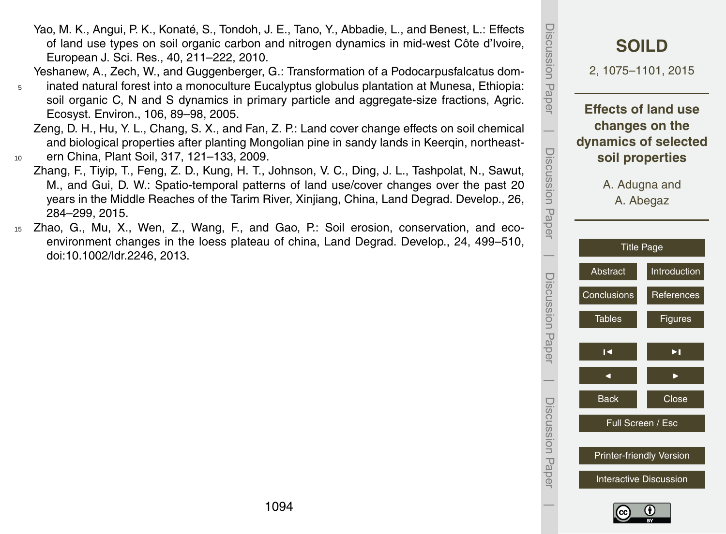1094

- Yao, M. K., Angui, P. K., Konaté, S., Tondoh, J. E., Tano, Y., Abbadie, L., and Benest, L.: Effects of land use types on soil organic carbon and nitrogen dynamics in mid-west Côte d'Ivoire, European J. Sci. Res., 40, 211–222, 2010.
- Yeshanew, A., Zech, W., and Guggenberger, G.: Transformation of a Podocarpusfalcatus dom-
- <sup>5</sup> inated natural forest into a monoculture Eucalyptus globulus plantation at Munesa, Ethiopia: soil organic C, N and S dynamics in primary particle and aggregate-size fractions, Agric. Ecosyst. Environ., 106, 89–98, 2005.
- Zeng, D. H., Hu, Y. L., Chang, S. X., and Fan, Z. P.: Land cover change effects on soil chemical and biological properties after planting Mongolian pine in sandy lands in Keerqin, northeast-<sup>10</sup> ern China, Plant Soil, 317, 121–133, 2009.
- Zhang, F., Tiyip, T., Feng, Z. D., Kung, H. T., Johnson, V. C., Ding, J. L., Tashpolat, N., Sawut, M., and Gui, D. W.: Spatio-temporal patterns of land use/cover changes over the past 20 years in the Middle Reaches of the Tarim River, Xinjiang, China, Land Degrad. Develop., 26, 284–299, 2015.
- <sup>15</sup> Zhao, G., Mu, X., Wen, Z., Wang, F., and Gao, P.: Soil erosion, conservation, and ecoenvironment changes in the loess plateau of china, Land Degrad. Develop., 24, 499–510, doi[:10.1002/ldr.2246,](http://dx.doi.org/10.1002/ldr.2246) 2013.

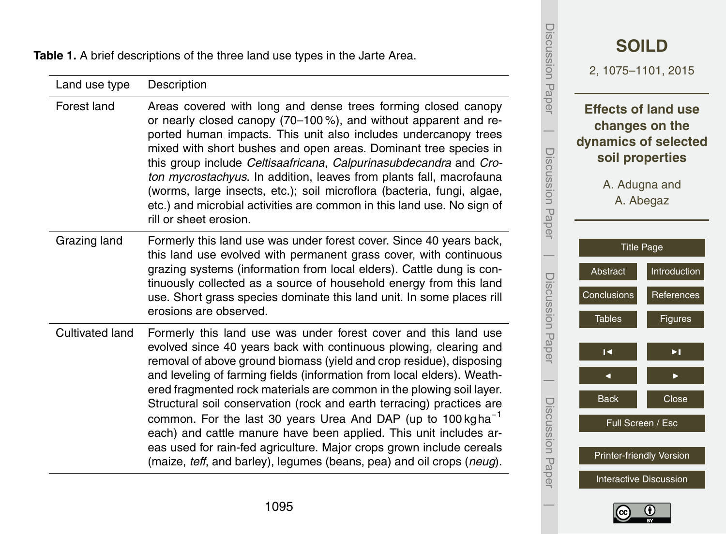<span id="page-20-0"></span>

|                        | ble 1. A brief descriptions of the three land use types in the Jarte Area.                                                                                                                                                                                                                                                                                                                                                                                                                                                                                                                                                                                                                                                                | Discussion                | <b>SOILD</b><br>2, 1075-1101, 2015                                                                                    |
|------------------------|-------------------------------------------------------------------------------------------------------------------------------------------------------------------------------------------------------------------------------------------------------------------------------------------------------------------------------------------------------------------------------------------------------------------------------------------------------------------------------------------------------------------------------------------------------------------------------------------------------------------------------------------------------------------------------------------------------------------------------------------|---------------------------|-----------------------------------------------------------------------------------------------------------------------|
| Land use type          | Description                                                                                                                                                                                                                                                                                                                                                                                                                                                                                                                                                                                                                                                                                                                               |                           |                                                                                                                       |
| Forest land            | Areas covered with long and dense trees forming closed canopy<br>or nearly closed canopy (70-100%), and without apparent and re-<br>ported human impacts. This unit also includes undercanopy trees<br>mixed with short bushes and open areas. Dominant tree species in<br>this group include Celtisaafricana, Calpurinasubdecandra and Cro-<br>ton mycrostachyus. In addition, leaves from plants fall, macrofauna<br>(worms, large insects, etc.); soil microflora (bacteria, fungi, algae,<br>etc.) and microbial activities are common in this land use. No sign of<br>rill or sheet erosion.                                                                                                                                         | Paper<br>Discussion Paper | <b>Effects of land use</b><br>changes on the<br>dynamics of selected<br>soil properties<br>A. Adugna and<br>A. Abegaz |
| Grazing land           | Formerly this land use was under forest cover. Since 40 years back,<br>this land use evolved with permanent grass cover, with continuous<br>grazing systems (information from local elders). Cattle dung is con-<br>tinuously collected as a source of household energy from this land<br>use. Short grass species dominate this land unit. In some places rill<br>erosions are observed.                                                                                                                                                                                                                                                                                                                                                 | Discussion Paper          | <b>Title Page</b><br>Introduction<br>Abstract<br>Conclusions<br>References<br><b>Tables</b><br><b>Figures</b>         |
| <b>Cultivated land</b> | Formerly this land use was under forest cover and this land use<br>evolved since 40 years back with continuous plowing, clearing and<br>removal of above ground biomass (yield and crop residue), disposing<br>and leveling of farming fields (information from local elders). Weath-<br>ered fragmented rock materials are common in the plowing soil layer.<br>Structural soil conservation (rock and earth terracing) practices are<br>common. For the last 30 years Urea And DAP (up to 100 kg ha <sup>-1</sup><br>each) and cattle manure have been applied. This unit includes ar-<br>eas used for rain-fed agriculture. Major crops grown include cereals<br>(maize, teff, and barley), legumes (beans, pea) and oil crops (neug). | Discussion Paper          | ►∣<br>Н<br>◀<br>Close<br>Back<br>Full Screen / Esc<br><b>Printer-friendly Version</b>                                 |
|                        |                                                                                                                                                                                                                                                                                                                                                                                                                                                                                                                                                                                                                                                                                                                                           |                           | <b>Interactive Discussion</b>                                                                                         |



 $\overline{\phantom{a}}$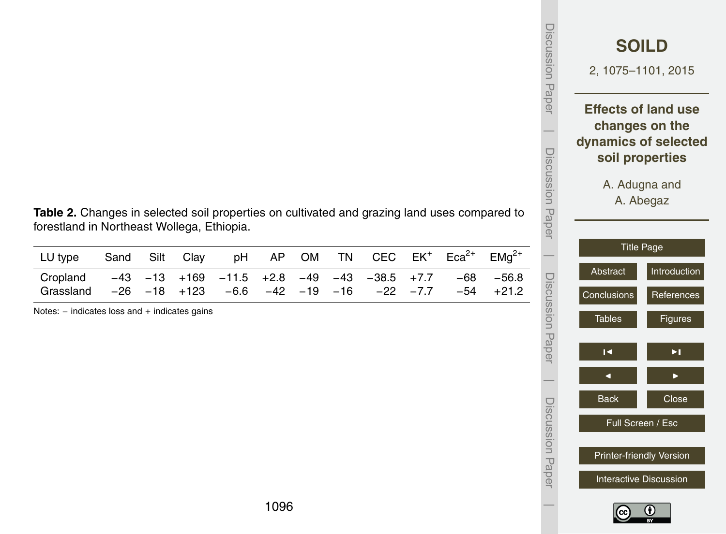| Discussion Paper      | 2, 1075-1101, 2015                 | <b>SOILD</b>                                                    |
|-----------------------|------------------------------------|-----------------------------------------------------------------|
|                       | dynamics of selected               | <b>Effects of land use</b><br>changes on the<br>soil properties |
| I<br>Discussion Paper | A. Adugna and<br><b>Title Page</b> | A. Abegaz                                                       |
|                       | Abstract                           | Introduction                                                    |
|                       | Conclusions                        | References                                                      |
| Discussion Paper      | <b>Tables</b>                      | Figures                                                         |
|                       | $\vert \triangleleft$              | ÞI,                                                             |
|                       |                                    |                                                                 |
|                       | <b>Back</b>                        | Close                                                           |
| Discussion Paper      |                                    | Full Screen / Esc                                               |
|                       |                                    | Printer-friendly Version                                        |
|                       |                                    | <b>Interactive Discussion</b>                                   |
|                       |                                    |                                                                 |

**Table 2.** Changes in selected soil properties on cultivated and grazing land uses compared to forestland in Northeast Wollega, Ethiopia.

| LU type Sand Silt Clay pH AP OM TN CEC $EK^+$ Eca <sup>2+</sup> EMg <sup>2+</sup>   |  |  |  |  |  |  |
|-------------------------------------------------------------------------------------|--|--|--|--|--|--|
| Cropland $-43$ $-13$ $+169$ $-11.5$ $+2.8$ $-49$ $-43$ $-38.5$ $+7.7$ $-68$ $-56.8$ |  |  |  |  |  |  |
| Grassland -26 -18 +123 -6.6 -42 -19 -16 -22 -7.7 -54 +21.2                          |  |  |  |  |  |  |

Notes: − indicates loss and + indicates gains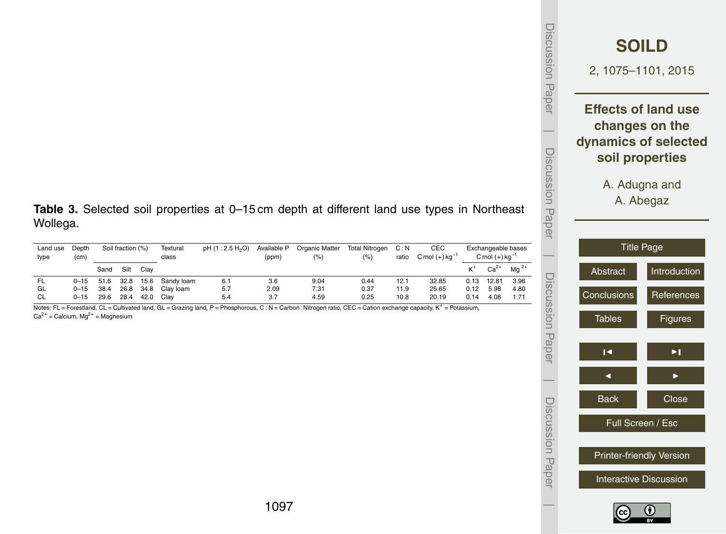|                          | <b>SOILD</b><br>2, 1075-1101, 2015                                                      |
|--------------------------|-----------------------------------------------------------------------------------------|
|                          | <b>Effects of land use</b><br>changes on the<br>dynamics of selected<br>soil properties |
|                          | A. Adugna and<br>A. Abegaz                                                              |
|                          | <b>Title Page</b>                                                                       |
| Abstract                 | Introduction                                                                            |
| Conclusions              | References                                                                              |
| <b>Tables</b>            | Figures                                                                                 |
| $\overline{\phantom{a}}$ | ×l                                                                                      |
|                          |                                                                                         |
| <b>Back</b>              | Close                                                                                   |
|                          | Full Screen / Esc                                                                       |
|                          | <b>Printer-friendly Version</b>                                                         |
|                          | <b>Interactive Discussion</b>                                                           |

Discussion Paper

 $\overline{\phantom{a}}$ 

Discussion Paper

Discussion Paper

 $\overline{\phantom{a}}$ 

Discussion Paper

Discussion Paper

 $\overline{\phantom{a}}$ 

Discussion Paper

Discussion Paper

 $\overline{\phantom{a}}$ 

**Table 3.** Selected soil properties at 0–15 cm depth at different land use types in Northeast Wollega.

| Land use<br>type | Depth<br>(c <sub>m</sub> ) | Soil fraction (%) |      |      | Textural<br>class | pH (1:2.5 H <sub>2</sub> O) | Available P<br>(ppm) | Organic Matter<br>(% ) | <b>Total Nitrogen</b><br>(%) | C: N<br>ratio | CEC<br>$C$ mol $(+)$ kg <sup>-1</sup> |      | Exchangeable bases<br>C mol $(+)$ kg <sup>-1</sup> |        |
|------------------|----------------------------|-------------------|------|------|-------------------|-----------------------------|----------------------|------------------------|------------------------------|---------------|---------------------------------------|------|----------------------------------------------------|--------|
|                  |                            | Sand              | Silt | Clav |                   |                             |                      |                        |                              |               |                                       | ĸ+   | $Ca^{2+}$                                          | $Ma2+$ |
| FL.              | $0 - 15$                   | 51.6              | 32.8 | 15.6 | Sandy loam        | 6.1                         | 3.6                  | 9.04                   | 0.44                         | 12.1          | 32.85                                 | 0.13 | 12.81                                              | 3.96   |
| GL               | $0 - 15$                   | 38.4              | 26.8 | 34.8 | Clav Ioam         | 5.7                         | 2.09                 | 7.31                   | 0.37                         | 11.9          | 25.65                                 | 0.12 | 5.98                                               | 4.80   |
| CL               | $0 - 15$                   | 29.6              | 28.4 | 42.0 | Clav              | 5.4                         | 3.7                  | 4.59                   | 0.25                         | 10.8          | 20.19                                 | 0.14 | 4.08                                               | 1.71   |

Notes: FL = Forestland, CL = Cultivated land, GL = Grazing land, P = Phosphorous, C : N = Carbon : Nitrogen ratio, CEC = Cation exchange capacity, K<sup>+</sup> = Potassium,<br>Ca<sup>2+</sup> = Calcium, Mg<sup>2+</sup> = Magnesium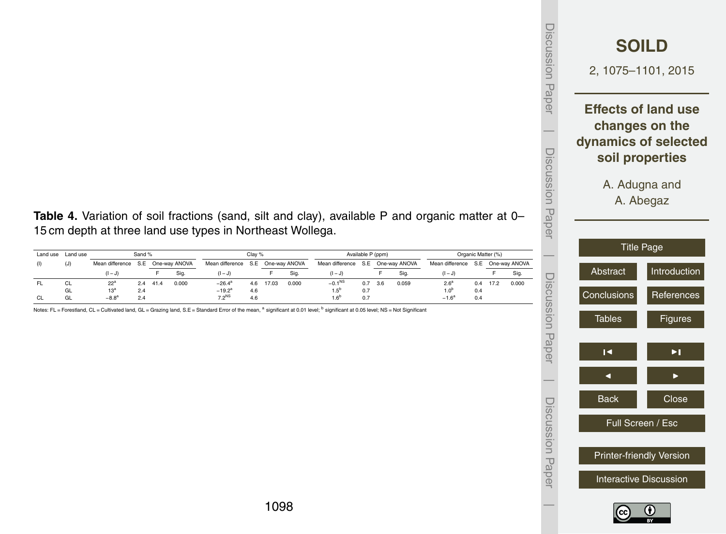|               | <b>SOILD</b><br>2, 1075-1101, 2015                                                      |
|---------------|-----------------------------------------------------------------------------------------|
|               | <b>Effects of land use</b><br>changes on the<br>dynamics of selected<br>soil properties |
|               | A. Adugna and<br>A. Abegaz                                                              |
|               | <b>Title Page</b>                                                                       |
| Abstract      | Introduction                                                                            |
| Conclusions   | References                                                                              |
| <b>Tables</b> | Figures                                                                                 |
| K             | Þ1                                                                                      |
|               |                                                                                         |
| <b>Back</b>   | Close                                                                                   |
|               | Full Screen / Esc                                                                       |
|               | <b>Printer-friendly Version</b>                                                         |
|               | <b>Interactive Discussion</b>                                                           |

Discussion Paper

 $\overline{\phantom{a}}$ 

Discussion Paper

Discussion Paper

 $\overline{\phantom{a}}$ 

Discussion Paper

 $\overline{\phantom{a}}$ 

Discussion Paper

Discussion Paper

 $\overline{\phantom{a}}$ 

**Table 4.** Variation of soil fractions (sand, silt and clay), available P and organic matter at 0– 15 cm depth at three land use types in Northeast Wollega.

| Land use | Land use |                                   | Sand % |      |       | Clav %            |     |                                   |       | Available P (ppm)   |     | Organic Matter (%) |       |                                   |     |      |       |
|----------|----------|-----------------------------------|--------|------|-------|-------------------|-----|-----------------------------------|-------|---------------------|-----|--------------------|-------|-----------------------------------|-----|------|-------|
| (1)      | (J)      | Mean difference S.E One-way ANOVA |        |      |       |                   |     | Mean difference S.E One-way ANOVA |       | Mean difference S.E |     | One-way ANOVA      |       | Mean difference S.E One-way ANOVA |     |      |       |
|          |          | $(1 - J)$                         |        |      | Sig.  | $(1 - J)$         |     |                                   | Sig.  | $(1 - J)$           |     |                    | Sig.  | $(I-J)$                           |     |      | Sig   |
| FL.      | СL       | $22^{3}$                          | 2.4    | 41.4 | 0.000 | $-26.4^a$         | 4.6 | 17.03                             | 0.000 | $-0.1NS$            | 0.7 | 3.6                | 0.059 | 2.6 <sup>a</sup>                  | 0.4 | 17.2 | 0.000 |
|          | GL       | 13 <sup>3</sup>                   | 2.4    |      |       | $-19.2^{a}$       | 4.6 |                                   |       | $1.5^{\circ}$       | 0.7 |                    |       | 1.0 <sup>p</sup>                  | 0.4 |      |       |
| CL.      | GL       | $-8.8^{\circ}$                    | 2.4    |      |       | 7.2 <sup>NS</sup> | 4.6 |                                   |       |                     | 0.7 |                    |       | $-1.6^{\circ}$                    | 0.4 |      |       |

Notes: FL = Forestland, CL = Cultivated land, GL = Grazing land, S.E = Standard Error of the mean, <sup>a</sup> significant at 0.01 level; <sup>b</sup> significant at 0.05 level; NS = Not Significant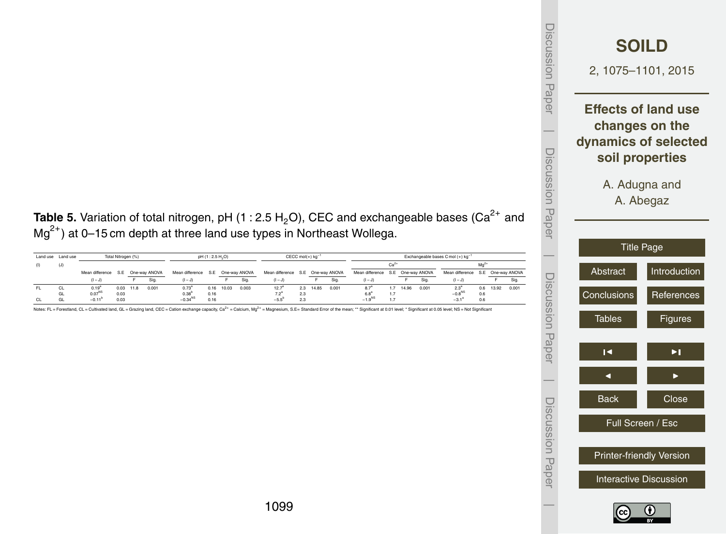| Discussion Paper |                      | <b>SOILD</b><br>2, 1075-1101, 2015                                                      |
|------------------|----------------------|-----------------------------------------------------------------------------------------|
|                  |                      | <b>Effects of land use</b><br>changes on the<br>dynamics of selected<br>soil properties |
| Discussion Paper |                      | A. Adugna and<br>A. Abegaz<br><b>Title Page</b>                                         |
|                  | Abstract             | Introduction                                                                            |
|                  | Conclusions          | References                                                                              |
| Discussion Paper | <b>Tables</b>        | Figures                                                                                 |
|                  | $\blacktriangleleft$ | $\blacktriangleright$ $\blacksquare$                                                    |
|                  |                      |                                                                                         |
|                  | <b>Back</b>          | Close                                                                                   |
| Discussion Paper |                      | Full Screen / Esc                                                                       |
|                  |                      | Printer-friendly Version                                                                |
|                  |                      | <b>Interactive Discussion</b>                                                           |
|                  |                      |                                                                                         |

**Table 5.** Variation of total nitrogen, pH (1 : 2.5 H<sub>2</sub>O), CEC and exchangeable bases (Ca<sup>2+</sup> and Mg<sup>2+</sup>) at 0–15 cm depth at three land use types in Northeast Wollega.

|     | Land use Land use | Total Nitrogen (%)<br>pH (1:2.5 H <sub>2</sub> O) |      |             |                   |                                   |      |       |       | CECC mol(+) kg <sup>-1</sup>      |     | Exchangeable bases C mol (+) kg |       |                                   |     |       |       |                                   |     |       |       |
|-----|-------------------|---------------------------------------------------|------|-------------|-------------------|-----------------------------------|------|-------|-------|-----------------------------------|-----|---------------------------------|-------|-----------------------------------|-----|-------|-------|-----------------------------------|-----|-------|-------|
| (1) | (J)               |                                                   |      |             |                   |                                   |      |       |       |                                   |     |                                 |       | $Ca2+$                            |     |       |       | Ma <sup>co</sup>                  |     |       |       |
|     |                   | Mean difference                                   |      |             | S.E One-way ANOVA | Mean difference S.E One-way ANOVA |      |       |       | Mean difference S.E One-way ANOVA |     |                                 |       | Mean difference S.E One-way ANOVA |     |       |       | Mean difference S.E One-way ANOVA |     |       |       |
|     |                   | $(1 - J)$                                         |      |             | Sig.              | $(1 - J)$                         |      |       | Sig.  | $(I-J)$                           |     |                                 | Sia   | $(1 - J)$                         |     |       | Sig   | $(1 - J)$                         |     |       | Sig   |
| FL. | <b>CL</b>         | $0.19^{a}$                                        |      | $0.03$ 11.8 | 0.001             | $0.73^{\circ}$                    | 0.16 | 10.03 | 0.003 | 127                               | 23  | 1485                            | 0.001 | $8.7^{\circ}$                     | 17  | 14.96 | 0.001 | $2.3^{\circ}$                     | 06  | 13.92 | 0.001 |
|     | GL                | $0.07^{NS}$                                       | 0.03 |             |                   | $0.38^{\circ}$                    | 0.16 |       |       | 72"                               | 2.3 |                                 |       | $6.8^{\circ}$                     | 1.7 |       |       | $-0.8^{NS}$                       | 0.6 |       |       |
| CL. | GL                | $-0.11^{b}$                                       | 0.03 |             |                   | $-0.34^{NS}$                      | 0.16 |       |       |                                   | 23  |                                 |       | $-1.9^{NS}$                       | 17  |       |       | $-3.1^{\circ}$                    | 0.6 |       |       |

Notes: FL = Forestland, CL = Cultivated land, GL = Grazing land, CEC = Cation exchange capacity, Ca2+ = Calcium, Mg2+ = Magnesium, S.E= Standard Error of the mean; \*\* Significant at 0.01 level; \* Significant at 0.05 level;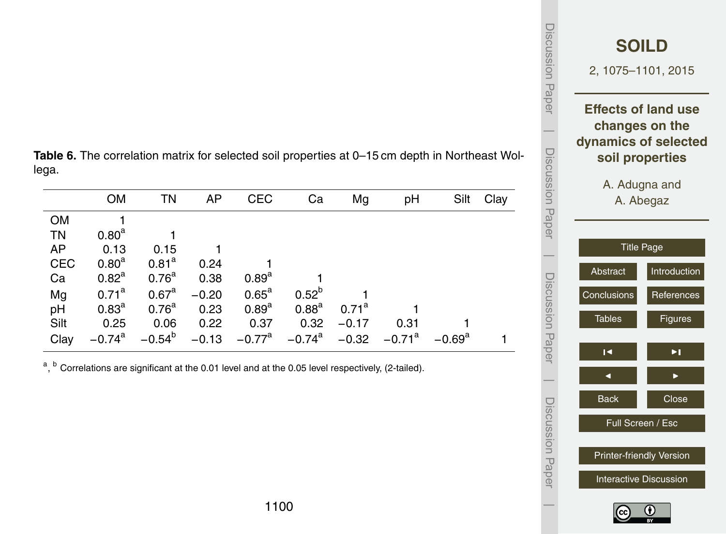| Discussion Paper      | <b>SOILD</b><br>2, 1075-1101, 2015 |                |
|-----------------------|------------------------------------|----------------|
|                       | <b>Effects of land use</b>         |                |
|                       | changes on the                     |                |
|                       | dynamics of selected               |                |
|                       | soil properties                    |                |
|                       | A. Adugna and                      |                |
|                       | A. Abegaz                          |                |
| I<br>Discussion Paper |                                    |                |
|                       | <b>Title Page</b>                  |                |
|                       | Abstract                           | Introduction   |
|                       |                                    |                |
|                       | Conclusions                        | References     |
|                       | <b>Tables</b>                      | <b>Figures</b> |
| Discussion Paper      |                                    |                |
|                       | $\blacksquare$                     | ÞI,            |
|                       |                                    |                |
|                       | <b>Back</b>                        | Close          |
| Discussion Papel      | Full Screen / Esc                  |                |
|                       | Printer-friendly Version           |                |
|                       |                                    |                |
|                       | <b>Interactive Discussion</b>      |                |
|                       |                                    |                |

**Table 6.** The correlation matrix for selected soil properties at 0–15 cm depth in Northeast Wollega.

|            | <b>OM</b>            | TN                | AP      | <b>CEC</b>           | Ca                   | Mg                | pH        | Silt            | Clay |
|------------|----------------------|-------------------|---------|----------------------|----------------------|-------------------|-----------|-----------------|------|
| <b>OM</b>  |                      |                   |         |                      |                      |                   |           |                 |      |
| TN         | 0.80 <sup>a</sup>    |                   |         |                      |                      |                   |           |                 |      |
| AP         | 0.13                 | 0.15              |         |                      |                      |                   |           |                 |      |
| <b>CEC</b> | $0.80^{a}$           | 0.81 <sup>a</sup> | 0.24    |                      |                      |                   |           |                 |      |
| Ca         | $0.82^a$             | 0.76 <sup>a</sup> | 0.38    | $0.89^{a}$           |                      |                   |           |                 |      |
| Mg         | $0.71^{\text{a}}$    | 0.67 <sup>a</sup> | $-0.20$ | $0.65^{\text{a}}$    | $0.52^{b}$           |                   |           |                 |      |
| pH         | $0.83^{a}$           | 0.76 <sup>a</sup> | 0.23    | $0.89^{a}$           | $0.88^{a}$           | $0.71^{\text{a}}$ |           |                 |      |
| Silt       | 0.25                 | 0.06              | 0.22    | 0.37                 | 0.32                 | $-0.17$           | 0.31      |                 |      |
| Clay       | $-0.74$ <sup>a</sup> | $-0.54^{b}$       | $-0.13$ | $-0.77$ <sup>a</sup> | $-0.74$ <sup>a</sup> | $-0.32$           | $-0.71^a$ | $-0.69^{\rm a}$ |      |

<sup>a</sup>, <sup>b</sup> Correlations are significant at the 0.01 level and at the 0.05 level respectively, (2-tailed).